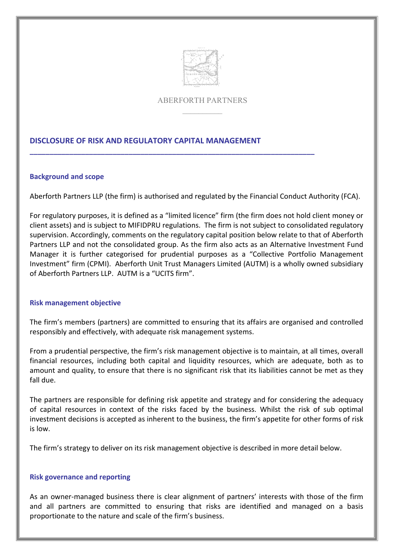

## ABERFORTH PARTNERS  $\mathcal{L}$  and  $\mathcal{L}$

# **DISCLOSURE OF RISK AND REGULATORY CAPITAL MANAGEMENT**

**\_\_\_\_\_\_\_\_\_\_\_\_\_\_\_\_\_\_\_\_\_\_\_\_\_\_\_\_\_\_\_\_\_\_\_\_\_\_\_\_\_\_\_\_\_\_\_\_\_\_\_\_\_\_\_\_\_\_\_\_\_\_\_\_\_\_\_\_\_\_\_\_**

## **Background and scope**

Aberforth Partners LLP (the firm) is authorised and regulated by the Financial Conduct Authority (FCA).

For regulatory purposes, it is defined as a "limited licence" firm (the firm does not hold client money or client assets) and is subject to MIFIDPRU regulations. The firm is not subject to consolidated regulatory supervision. Accordingly, comments on the regulatory capital position below relate to that of Aberforth Partners LLP and not the consolidated group. As the firm also acts as an Alternative Investment Fund Manager it is further categorised for prudential purposes as a "Collective Portfolio Management Investment" firm (CPMI). Aberforth Unit Trust Managers Limited (AUTM) is a wholly owned subsidiary of Aberforth Partners LLP. AUTM is a "UCITS firm".

### **Risk management objective**

The firm's members (partners) are committed to ensuring that its affairs are organised and controlled responsibly and effectively, with adequate risk management systems.

From a prudential perspective, the firm's risk management objective is to maintain, at all times, overall financial resources, including both capital and liquidity resources, which are adequate, both as to amount and quality, to ensure that there is no significant risk that its liabilities cannot be met as they fall due.

The partners are responsible for defining risk appetite and strategy and for considering the adequacy of capital resources in context of the risks faced by the business. Whilst the risk of sub optimal investment decisions is accepted as inherent to the business, the firm's appetite for other forms of risk is low.

The firm's strategy to deliver on its risk management objective is described in more detail below.

## **Risk governance and reporting**

As an owner-managed business there is clear alignment of partners' interests with those of the firm and all partners are committed to ensuring that risks are identified and managed on a basis proportionate to the nature and scale of the firm's business.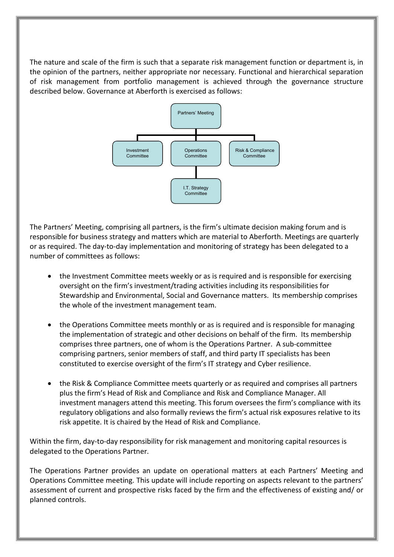The nature and scale of the firm is such that a separate risk management function or department is, in the opinion of the partners, neither appropriate nor necessary. Functional and hierarchical separation of risk management from portfolio management is achieved through the governance structure described below. Governance at Aberforth is exercised as follows:



The Partners' Meeting, comprising all partners, is the firm's ultimate decision making forum and is responsible for business strategy and matters which are material to Aberforth. Meetings are quarterly or as required. The day-to-day implementation and monitoring of strategy has been delegated to a number of committees as follows:

- the Investment Committee meets weekly or as is required and is responsible for exercising oversight on the firm's investment/trading activities including its responsibilities for Stewardship and Environmental, Social and Governance matters. Its membership comprises the whole of the investment management team.
- the Operations Committee meets monthly or as is required and is responsible for managing the implementation of strategic and other decisions on behalf of the firm. Its membership comprises three partners, one of whom is the Operations Partner. A sub-committee comprising partners, senior members of staff, and third party IT specialists has been constituted to exercise oversight of the firm's IT strategy and Cyber resilience.
- the Risk & Compliance Committee meets quarterly or as required and comprises all partners plus the firm's Head of Risk and Compliance and Risk and Compliance Manager. All investment managers attend this meeting. This forum oversees the firm's compliance with its regulatory obligations and also formally reviews the firm's actual risk exposures relative to its risk appetite. It is chaired by the Head of Risk and Compliance.

Within the firm, day-to-day responsibility for risk management and monitoring capital resources is delegated to the Operations Partner.

The Operations Partner provides an update on operational matters at each Partners' Meeting and Operations Committee meeting. This update will include reporting on aspects relevant to the partners' assessment of current and prospective risks faced by the firm and the effectiveness of existing and/ or planned controls.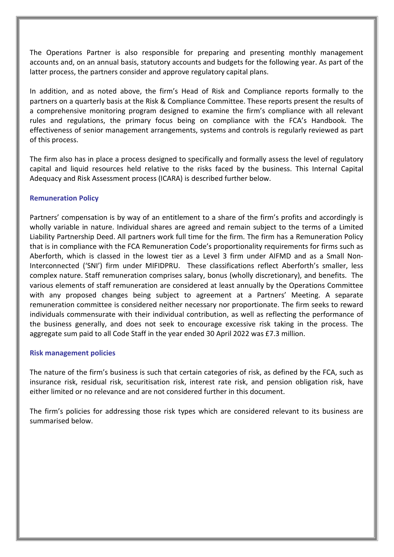The Operations Partner is also responsible for preparing and presenting monthly management accounts and, on an annual basis, statutory accounts and budgets for the following year. As part of the latter process, the partners consider and approve regulatory capital plans.

In addition, and as noted above, the firm's Head of Risk and Compliance reports formally to the partners on a quarterly basis at the Risk & Compliance Committee. These reports present the results of a comprehensive monitoring program designed to examine the firm's compliance with all relevant rules and regulations, the primary focus being on compliance with the FCA's Handbook. The effectiveness of senior management arrangements, systems and controls is regularly reviewed as part of this process.

The firm also has in place a process designed to specifically and formally assess the level of regulatory capital and liquid resources held relative to the risks faced by the business. This Internal Capital Adequacy and Risk Assessment process (ICARA) is described further below.

## **Remuneration Policy**

Partners' compensation is by way of an entitlement to a share of the firm's profits and accordingly is wholly variable in nature. Individual shares are agreed and remain subject to the terms of a Limited Liability Partnership Deed. All partners work full time for the firm. The firm has a Remuneration Policy that is in compliance with the FCA Remuneration Code's proportionality requirements for firms such as Aberforth, which is classed in the lowest tier as a Level 3 firm under AIFMD and as a Small Non-Interconnected ('SNI') firm under MIFIDPRU. These classifications reflect Aberforth's smaller, less complex nature. Staff remuneration comprises salary, bonus (wholly discretionary), and benefits. The various elements of staff remuneration are considered at least annually by the Operations Committee with any proposed changes being subject to agreement at a Partners' Meeting. A separate remuneration committee is considered neither necessary nor proportionate. The firm seeks to reward individuals commensurate with their individual contribution, as well as reflecting the performance of the business generally, and does not seek to encourage excessive risk taking in the process. The aggregate sum paid to all Code Staff in the year ended 30 April 2022 was £7.3 million.

### **Risk management policies**

The nature of the firm's business is such that certain categories of risk, as defined by the FCA, such as insurance risk, residual risk, securitisation risk, interest rate risk, and pension obligation risk, have either limited or no relevance and are not considered further in this document.

The firm's policies for addressing those risk types which are considered relevant to its business are summarised below.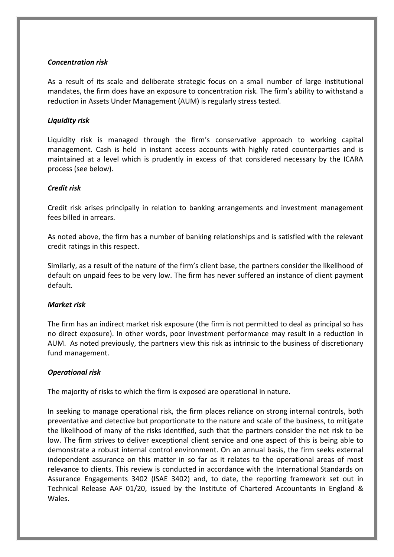## *Concentration risk*

As a result of its scale and deliberate strategic focus on a small number of large institutional mandates, the firm does have an exposure to concentration risk. The firm's ability to withstand a reduction in Assets Under Management (AUM) is regularly stress tested.

## *Liquidity risk*

Liquidity risk is managed through the firm's conservative approach to working capital management. Cash is held in instant access accounts with highly rated counterparties and is maintained at a level which is prudently in excess of that considered necessary by the ICARA process (see below).

## *Credit risk*

Credit risk arises principally in relation to banking arrangements and investment management fees billed in arrears.

As noted above, the firm has a number of banking relationships and is satisfied with the relevant credit ratings in this respect.

Similarly, as a result of the nature of the firm's client base, the partners consider the likelihood of default on unpaid fees to be very low. The firm has never suffered an instance of client payment default.

## *Market risk*

The firm has an indirect market risk exposure (the firm is not permitted to deal as principal so has no direct exposure). In other words, poor investment performance may result in a reduction in AUM. As noted previously, the partners view this risk as intrinsic to the business of discretionary fund management.

## *Operational risk*

The majority of risks to which the firm is exposed are operational in nature.

In seeking to manage operational risk, the firm places reliance on strong internal controls, both preventative and detective but proportionate to the nature and scale of the business, to mitigate the likelihood of many of the risks identified, such that the partners consider the net risk to be low. The firm strives to deliver exceptional client service and one aspect of this is being able to demonstrate a robust internal control environment. On an annual basis, the firm seeks external independent assurance on this matter in so far as it relates to the operational areas of most relevance to clients. This review is conducted in accordance with the International Standards on Assurance Engagements 3402 (ISAE 3402) and, to date, the reporting framework set out in Technical Release AAF 01/20, issued by the Institute of Chartered Accountants in England & Wales.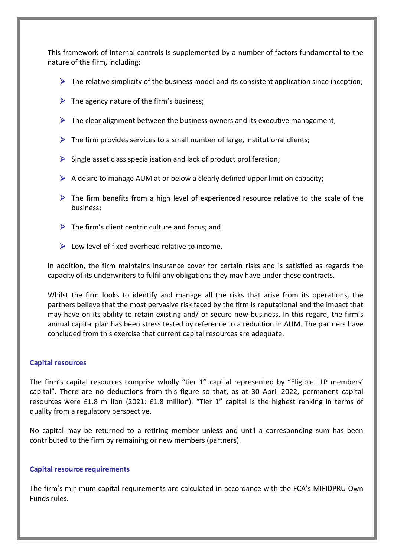This framework of internal controls is supplemented by a number of factors fundamental to the nature of the firm, including:

- $\triangleright$  The relative simplicity of the business model and its consistent application since inception;
- $\triangleright$  The agency nature of the firm's business;
- $\triangleright$  The clear alignment between the business owners and its executive management;
- $\triangleright$  The firm provides services to a small number of large, institutional clients;
- $\triangleright$  Single asset class specialisation and lack of product proliferation;
- $\triangleright$  A desire to manage AUM at or below a clearly defined upper limit on capacity;
- $\triangleright$  The firm benefits from a high level of experienced resource relative to the scale of the business;
- $\triangleright$  The firm's client centric culture and focus; and
- $\triangleright$  Low level of fixed overhead relative to income.

In addition, the firm maintains insurance cover for certain risks and is satisfied as regards the capacity of its underwriters to fulfil any obligations they may have under these contracts.

Whilst the firm looks to identify and manage all the risks that arise from its operations, the partners believe that the most pervasive risk faced by the firm is reputational and the impact that may have on its ability to retain existing and/ or secure new business. In this regard, the firm's annual capital plan has been stress tested by reference to a reduction in AUM. The partners have concluded from this exercise that current capital resources are adequate.

### **Capital resources**

The firm's capital resources comprise wholly "tier 1" capital represented by "Eligible LLP members' capital". There are no deductions from this figure so that, as at 30 April 2022, permanent capital resources were £1.8 million (2021: £1.8 million). "Tier 1" capital is the highest ranking in terms of quality from a regulatory perspective.

No capital may be returned to a retiring member unless and until a corresponding sum has been contributed to the firm by remaining or new members (partners).

### **Capital resource requirements**

The firm's minimum capital requirements are calculated in accordance with the FCA's MIFIDPRU Own Funds rules.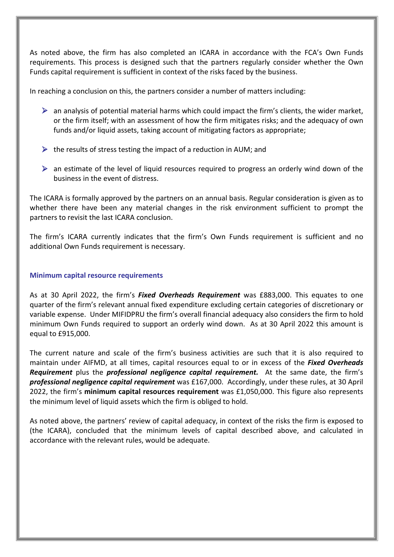As noted above, the firm has also completed an ICARA in accordance with the FCA's Own Funds requirements. This process is designed such that the partners regularly consider whether the Own Funds capital requirement is sufficient in context of the risks faced by the business.

In reaching a conclusion on this, the partners consider a number of matters including:

- $\triangleright$  an analysis of potential material harms which could impact the firm's clients, the wider market, or the firm itself; with an assessment of how the firm mitigates risks; and the adequacy of own funds and/or liquid assets, taking account of mitigating factors as appropriate;
- $\triangleright$  the results of stress testing the impact of a reduction in AUM; and
- $\triangleright$  an estimate of the level of liquid resources required to progress an orderly wind down of the business in the event of distress.

The ICARA is formally approved by the partners on an annual basis. Regular consideration is given as to whether there have been any material changes in the risk environment sufficient to prompt the partners to revisit the last ICARA conclusion.

The firm's ICARA currently indicates that the firm's Own Funds requirement is sufficient and no additional Own Funds requirement is necessary.

### **Minimum capital resource requirements**

As at 30 April 2022, the firm's *Fixed Overheads Requirement* was £883,000. This equates to one quarter of the firm's relevant annual fixed expenditure excluding certain categories of discretionary or variable expense. Under MIFIDPRU the firm's overall financial adequacy also considers the firm to hold minimum Own Funds required to support an orderly wind down. As at 30 April 2022 this amount is equal to £915,000.

The current nature and scale of the firm's business activities are such that it is also required to maintain under AIFMD, at all times, capital resources equal to or in excess of the *Fixed Overheads Requirement* plus the *professional negligence capital requirement.* At the same date, the firm's *professional negligence capital requirement* was £167,000. Accordingly, under these rules, at 30 April 2022, the firm's **minimum capital resources requirement** was £1,050,000. This figure also represents the minimum level of liquid assets which the firm is obliged to hold.

As noted above, the partners' review of capital adequacy, in context of the risks the firm is exposed to (the ICARA), concluded that the minimum levels of capital described above, and calculated in accordance with the relevant rules, would be adequate.